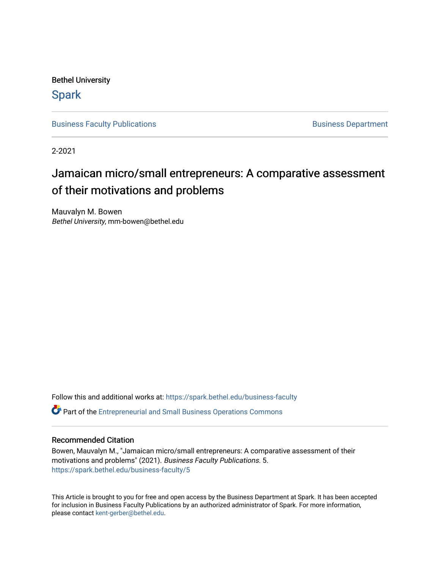Bethel University

**Spark** 

[Business Faculty Publications](https://spark.bethel.edu/business-faculty) **Business Department** 

2-2021

# Jamaican micro/small entrepreneurs: A comparative assessment of their motivations and problems

Mauvalyn M. Bowen Bethel University, mm-bowen@bethel.edu

Follow this and additional works at: [https://spark.bethel.edu/business-faculty](https://spark.bethel.edu/business-faculty?utm_source=spark.bethel.edu%2Fbusiness-faculty%2F5&utm_medium=PDF&utm_campaign=PDFCoverPages)  Part of the [Entrepreneurial and Small Business Operations Commons](http://network.bepress.com/hgg/discipline/630?utm_source=spark.bethel.edu%2Fbusiness-faculty%2F5&utm_medium=PDF&utm_campaign=PDFCoverPages) 

### Recommended Citation

Bowen, Mauvalyn M., "Jamaican micro/small entrepreneurs: A comparative assessment of their motivations and problems" (2021). Business Faculty Publications. 5. [https://spark.bethel.edu/business-faculty/5](https://spark.bethel.edu/business-faculty/5?utm_source=spark.bethel.edu%2Fbusiness-faculty%2F5&utm_medium=PDF&utm_campaign=PDFCoverPages) 

This Article is brought to you for free and open access by the Business Department at Spark. It has been accepted for inclusion in Business Faculty Publications by an authorized administrator of Spark. For more information, please contact [kent-gerber@bethel.edu](mailto:kent-gerber@bethel.edu).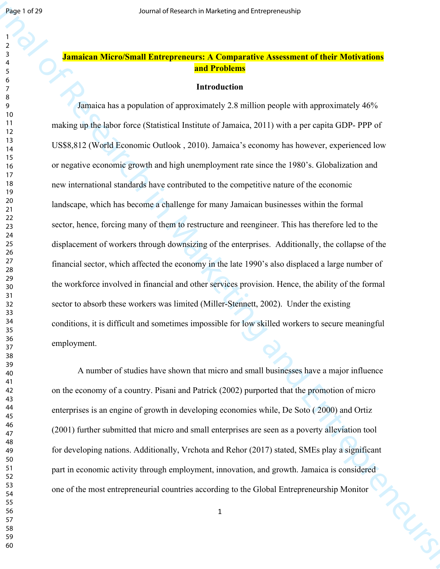## **Jamaican Micro/Small Entrepreneurs: A Comparative Assessment of their Motivations and Problems**

#### **Introduction**

**Fraction 22**<br> **Annalon Microsomuli Europeneurs A Computative Assessment of their Marketing<br>
3.4 Tunnician Microsomuli Europeneurs A Computative Assessment of their Marketing<br>
3.4 Tunnician data supplicion of approximate** Jamaica has a population of approximately 2.8 million people with approximately 46% making up the labor force (Statistical Institute of Jamaica, 2011) with a per capita GDP- PPP of US\$8,812 (World Economic Outlook , 2010). Jamaica's economy has however, experienced low or negative economic growth and high unemployment rate since the 1980's. Globalization and new international standards have contributed to the competitive nature of the economic landscape, which has become a challenge for many Jamaican businesses within the formal sector, hence, forcing many of them to restructure and reengineer. This has therefore led to the displacement of workers through downsizing of the enterprises. Additionally, the collapse of the financial sector, which affected the economy in the late 1990's also displaced a large number of the workforce involved in financial and other services provision. Hence, the ability of the formal sector to absorb these workers was limited (Miller-Stennett, 2002). Under the existing conditions, it is difficult and sometimes impossible for low skilled workers to secure meaningful employment.

A number of studies have shown that micro and small businesses have a major influence on the economy of a country. Pisani and Patrick (2002) purported that the promotion of micro enterprises is an engine of growth in developing economies while, De Soto ( 2000) and Ortiz (2001) further submitted that micro and small enterprises are seen as a poverty alleviation tool for developing nations. Additionally, Vrchota and Rehor (2017) stated, SMEs play a significant part in economic activity through employment, innovation, and growth. Jamaica is considered one of the most entrepreneurial countries according to the Global Entrepreneurship Monitor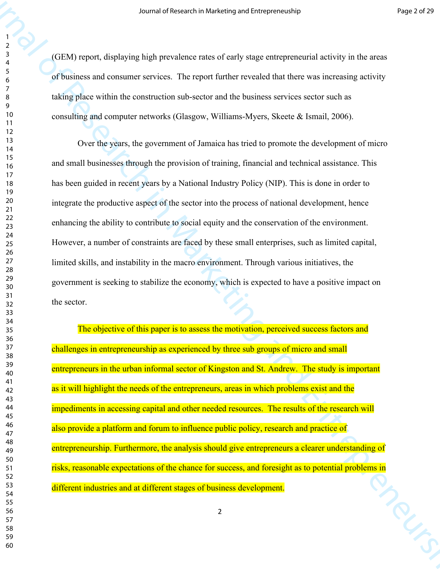(GEM) report, displaying high prevalence rates of early stage entrepreneurial activity in the areas of business and consumer services. The report further revealed that there was increasing activity taking place within the construction sub-sector and the business services sector such as consulting and computer networks (Glasgow, Williams-Myers, Skeete & Ismail, 2006).

327<br>
(GTM) report, displaying high prevalence rates of early stage entrepreneurship line is a result of Company of the Seconds of Company of the Seconds of the Seconds of Seconds and Seconds and Seconds and Seconds and S Over the years, the government of Jamaica has tried to promote the development of micro and small businesses through the provision of training, financial and technical assistance. This has been guided in recent years by a National Industry Policy (NIP). This is done in order to integrate the productive aspect of the sector into the process of national development, hence enhancing the ability to contribute to social equity and the conservation of the environment. However, a number of constraints are faced by these small enterprises, such as limited capital, limited skills, and instability in the macro environment. Through various initiatives, the government is seeking to stabilize the economy, which is expected to have a positive impact on the sector.

The objective of this paper is to assess the motivation, perceived success factors and challenges in entrepreneurship as experienced by three sub groups of micro and small entrepreneurs in the urban informal sector of Kingston and St. Andrew. The study is important as it will highlight the needs of the entrepreneurs, areas in which problems exist and the impediments in accessing capital and other needed resources. The results of the research will also provide a platform and forum to influence public policy, research and practice of entrepreneurship. Furthermore, the analysis should give entrepreneurs a clearer understanding of risks, reasonable expectations of the chance for success, and foresight as to potential problems in<br>different industries and at different stages of business development. different industries and at different stages of business development.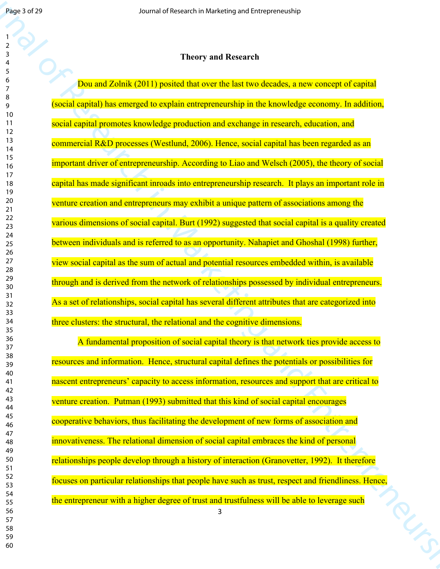#### 

| <b>Theory and Research</b> |  |
|----------------------------|--|
|----------------------------|--|

Journal of Baramata and Structure in the tensor of Lange Control of Research in Marketing and Entrepreneurship in Theorem and Research in Marketing and Control of Research in Marketing and Control of Research in Marketing Dou and Zolnik (2011) posited that over the last two decades, a new concept of capital (social capital) has emerged to explain entrepreneurship in the knowledge economy. In addition, social capital promotes knowledge production and exchange in research, education, and commercial R&D processes (Westlund, 2006). Hence, social capital has been regarded as an important driver of entrepreneurship. According to Liao and Welsch (2005), the theory of social capital has made significant inroads into entrepreneurship research. It plays an important role in venture creation and entrepreneurs may exhibit a unique pattern of associations among the various dimensions of social capital. Burt (1992) suggested that social capital is a quality created between individuals and is referred to as an opportunity. Nahapiet and Ghoshal (1998) further, view social capital as the sum of actual and potential resources embedded within, is available through and is derived from the network of relationships possessed by individual entrepreneurs. As a set of relationships, social capital has several different attributes that are categorized into three clusters: the structural, the relational and the cognitive dimensions.

A fundamental proposition of social capital theory is that network ties provide access to resources and information. Hence, structural capital defines the potentials or possibilities for nascent entrepreneurs' capacity to access information, resources and support that are critical to venture creation. Putman (1993) submitted that this kind of social capital encourages cooperative behaviors, thus facilitating the development of new forms of association and innovativeness. The relational dimension of social capital embraces the kind of personal relationships people develop through a history of interaction (Granovetter, 1992). It therefore focuses on particular relationships that people have such as trust, respect and friendliness. Hence,<br>the entrepreneur with a higher degree of trust and trustfulness will be able to leverage such<br>3 the entrepreneur with a higher degree of trust and trustfulness will be able to leverage such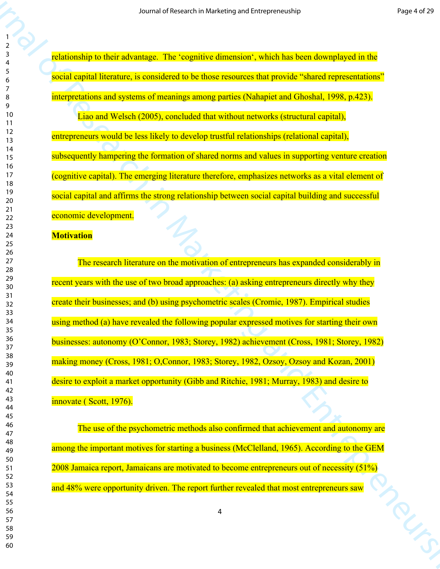relationship to their advantage. The 'cognitive dimension', which has been downplayed in the social capital literature, is considered to be those resources that provide "shared representations" interpretations and systems of meanings among parties (Nahapiet and Ghoshal, 1998, p.423).

Liao and Welsch (2005), concluded that without networks (structural capital), entrepreneurs would be less likely to develop trustful relationships (relational capital), subsequently hampering the formation of shared norms and values in supporting venture creation (cognitive capital). The emerging literature therefore, emphasizes networks as a vital element of social capital and affirms the strong relationship between social capital building and successful economic development.

#### **Motivation**

Scarted of Research in Marketing and Schemester And The International Transmitters<br>
The Schemester of Research in Marketing and Schemester Schemester Schemester And The International<br>
The Schemester in Marketing and Entre The research literature on the motivation of entrepreneurs has expanded considerably in recent years with the use of two broad approaches: (a) asking entrepreneurs directly why they create their businesses; and (b) using psychometric scales (Cromie, 1987). Empirical studies using method (a) have revealed the following popular expressed motives for starting their own businesses: autonomy (O'Connor, 1983; Storey, 1982) achievement (Cross, 1981; Storey, 1982) making money (Cross, 1981; O,Connor, 1983; Storey, 1982, Ozsoy, Ozsoy and Kozan, 2001) desire to exploit a market opportunity (Gibb and Ritchie, 1981; Murray, 1983) and desire to innovate ( Scott, 1976).

The use of the psychometric methods also confirmed that achievement and autonomy are among the important motives for starting a business (McClelland, 1965). According to the GEM 2008 Jamaica report, Jamaicans are motivated to become entrepreneurs out of necessity (51%) and 48% were opportunity driven. The report further revealed that most entrepreneurs saw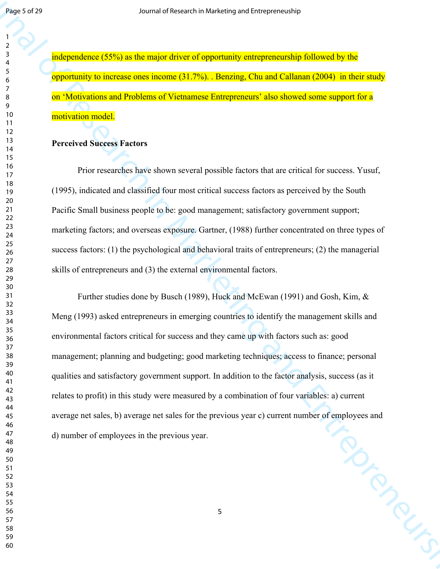independence (55%) as the major driver of opportunity entrepreneurship followed by the opportunity to increase ones income (31.7%). . Benzing, Chu and Callanan (2004) in their study on 'Motivations and Problems of Vietnamese Entrepreneurs' also showed some support for a motivation model.

### **Perceived Success Factors**

Prior researches have shown several possible factors that are critical for success. Yusuf, (1995), indicated and classified four most critical success factors as perceived by the South Pacific Small business people to be: good management; satisfactory government support; marketing factors; and overseas exposure. Gartner, (1988) further concentrated on three types of success factors: (1) the psychological and behavioral traits of entrepreneurs; (2) the managerial skills of entrepreneurs and (3) the external environmental factors.

 $J$  **Accord 2013**<br> **Accord 2013**<br> **Accord 2013**<br> **Accord 2013**<br> **Accord 2013**<br> **Accord 2013**<br> **Accord 2013**<br> **Accord 2013**<br> **Accord 2013**<br> **Accord 301**<br> **Accord 301**<br> **Accord 301**<br> **Developed and Entrepreneurships and Pro** Further studies done by Busch (1989), Huck and McEwan (1991) and Gosh, Kim, & Meng (1993) asked entrepreneurs in emerging countries to identify the management skills and environmental factors critical for success and they came up with factors such as: good management; planning and budgeting; good marketing techniques; access to finance; personal qualities and satisfactory government support. In addition to the factor analysis, success (as it relates to profit) in this study were measured by a combination of four variables: a) current average net sales, b) average net sales for the previous year c) current number of employees and<br>d) number of employees in the previous year. d) number of employees in the previous year.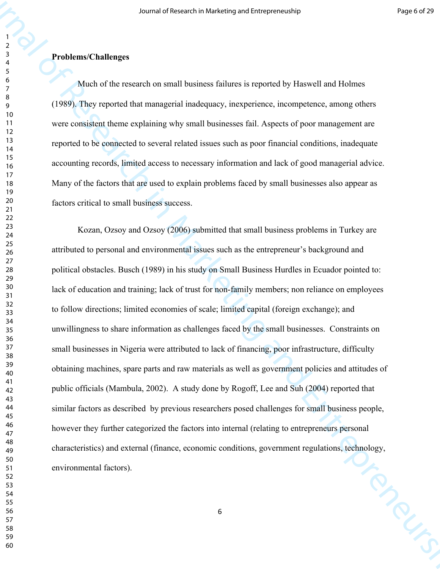## **Problems/Challenges**

Much of the research on small business failures is reported by Haswell and Holmes (1989). They reported that managerial inadequacy, inexperience, incompetence, among others were consistent theme explaining why small businesses fail. Aspects of poor management are reported to be connected to several related issues such as poor financial conditions, inadequate accounting records, limited access to necessary information and lack of good managerial advice. Many of the factors that are used to explain problems faced by small businesses also appear as factors critical to small business success.

327<br> **Problem Cludienges**<br> **Standard in the counterion and business findeces is reported by Have Clumic Holmes<br>
Standard in the counterion and business findeces in reporterions, among the<br>
1938. They research than exampl** Kozan, Ozsoy and Ozsoy (2006) submitted that small business problems in Turkey are attributed to personal and environmental issues such as the entrepreneur's background and political obstacles. Busch (1989) in his study on Small Business Hurdles in Ecuador pointed to: lack of education and training; lack of trust for non-family members; non reliance on employees to follow directions; limited economies of scale; limited capital (foreign exchange); and unwillingness to share information as challenges faced by the small businesses. Constraints on small businesses in Nigeria were attributed to lack of financing, poor infrastructure, difficulty obtaining machines, spare parts and raw materials as well as government policies and attitudes of public officials (Mambula, 2002). A study done by Rogoff, Lee and Suh (2004) reported that similar factors as described by previous researchers posed challenges for small business people, however they further categorized the factors into internal (relating to entrepreneurs personal characteristics) and external (finance, economic conditions, government regulations, technology, environmental factors). environmental factors).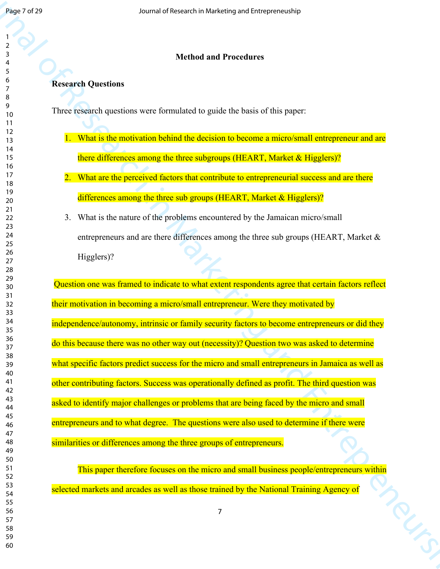## **Method and Procedures**

## **Research Questions**

Three research questions were formulated to guide the basis of this paper:

- 1. What is the motivation behind the decision to become a micro/small entrepreneur and are there differences among the three subgroups (HEART, Market & Higglers)?
- 2. What are the perceived factors that contribute to entrepreneurial success and are there differences among the three sub groups (HEART, Market & Higglers)?
- 3. What is the nature of the problems encountered by the Jamaican micro/small entrepreneurs and are there differences among the three sub groups (HEART, Market & Higglers)?

Journal of Research in Marketing and Procedures<br>
Theoretical Ouestinus<br>
Theoretical Ouestinus<br>
Theoretical Ouestinus<br>
Theoretical operative were formulated to guide de basis of this properties<br>
Theoretical Ouestinus<br>
Theo Question one was framed to indicate to what extent respondents agree that certain factors reflect their motivation in becoming a micro/small entrepreneur. Were they motivated by independence/autonomy, intrinsic or family security factors to become entrepreneurs or did they do this because there was no other way out (necessity)? Question two was asked to determine what specific factors predict success for the micro and small entrepreneurs in Jamaica as well as other contributing factors. Success was operationally defined as profit. The third question was asked to identify major challenges or problems that are being faced by the micro and small entrepreneurs and to what degree. The questions were also used to determine if there were similarities or differences among the three groups of entrepreneurs.

This paper therefore focuses on the micro and small business people/entrepreneurs within selected markets and arcades as well as those trained by the National Training Agency of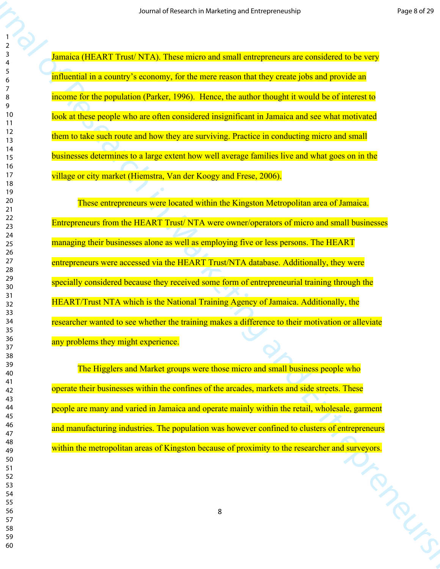Jamaica (HEART Trust/ NTA). These micro and small entrepreneurs are considered to be very influential in a country's economy, for the mere reason that they create jobs and provide an income for the population (Parker, 1996). Hence, the author thought it would be of interest to look at these people who are often considered insignificant in Jamaica and see what motivated them to take such route and how they are surviving. Practice in conducting micro and small businesses determines to a large extent how well average families live and what goes on in the village or city market (Hiemstra, Van der Koogy and Frese, 2006).

scenario are the search in Marketing and the Search in Marketing and the Search in Marketing and Archives and Archives and Archives and Archives and Archives and Archives and Archives and Archives and Entrepreneurships an These entrepreneurs were located within the Kingston Metropolitan area of Jamaica. Entrepreneurs from the HEART Trust/ NTA were owner/operators of micro and small businesses managing their businesses alone as well as employing five or less persons. The HEART entrepreneurs were accessed via the HEART Trust/NTA database. Additionally, they were specially considered because they received some form of entrepreneurial training through the HEART/Trust NTA which is the National Training Agency of Jamaica. Additionally, the researcher wanted to see whether the training makes a difference to their motivation or alleviate any problems they might experience.

The Higglers and Market groups were those micro and small business people who operate their businesses within the confines of the arcades, markets and side streets. These people are many and varied in Jamaica and operate mainly within the retail, wholesale, garment and manufacturing industries. The population was however confined to clusters of entrepreneurs within the metropolitan areas of Kingston because of proximity to the researcher and surveyors.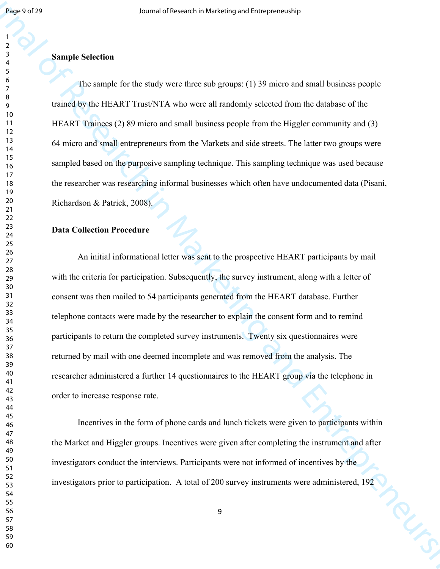#### **Sample Selection**

The sample for the study were three sub groups: (1) 39 micro and small business people trained by the HEART Trust/NTA who were all randomly selected from the database of the HEART Trainees (2) 89 micro and small business people from the Higgler community and (3) 64 micro and small entrepreneurs from the Markets and side streets. The latter two groups were sampled based on the purposive sampling technique. This sampling technique was used because the researcher was researching informal businesses which often have undocumented data (Pisani, Richardson & Patrick, 2008).

## **Data Collection Procedure**

**SECULAR OF THE CONSULTER CONSULTER AN INTERFERING THE CONSULTER CONSULTER AN INTERFERING AN INTERFERING AN INTERFERING AND INTERFERING AN INTERFERING AN INTERFERING AN INTERFERING AN INTERFERING AN INTERFERING AN INTERF** An initial informational letter was sent to the prospective HEART participants by mail with the criteria for participation. Subsequently, the survey instrument, along with a letter of consent was then mailed to 54 participants generated from the HEART database. Further telephone contacts were made by the researcher to explain the consent form and to remind participants to return the completed survey instruments. Twenty six questionnaires were returned by mail with one deemed incomplete and was removed from the analysis. The researcher administered a further 14 questionnaires to the HEART group via the telephone in order to increase response rate.

Incentives in the form of phone cards and lunch tickets were given to participants within the Market and Higgler groups. Incentives were given after completing the instrument and after investigators conduct the interviews. Participants were not informed of incentives by the investigators prior to participation. A total of 200 survey instruments were administered, 192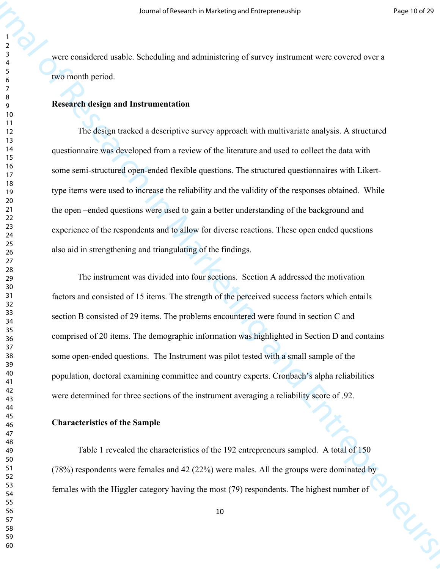were considered usable. Scheduling and administering of survey instrument were covered over a two month period.

## **Research design and Instrumentation**

327 Accord of Marketing and alternative systems of the material of Research in Marketing and the system of the Control of The Control of The Control of The Control of The Control of The Control of The Control of The Cont The design tracked a descriptive survey approach with multivariate analysis. A structured questionnaire was developed from a review of the literature and used to collect the data with some semi-structured open-ended flexible questions. The structured questionnaires with Likerttype items were used to increase the reliability and the validity of the responses obtained. While the open –ended questions were used to gain a better understanding of the background and experience of the respondents and to allow for diverse reactions. These open ended questions also aid in strengthening and triangulating of the findings.

The instrument was divided into four sections. Section A addressed the motivation factors and consisted of 15 items. The strength of the perceived success factors which entails section B consisted of 29 items. The problems encountered were found in section C and comprised of 20 items. The demographic information was highlighted in Section D and contains some open-ended questions. The Instrument was pilot tested with a small sample of the population, doctoral examining committee and country experts. Cronbach's alpha reliabilities were determined for three sections of the instrument averaging a reliability score of .92.

#### **Characteristics of the Sample**

Table 1 revealed the characteristics of the 192 entrepreneurs sampled. A total of 150 (78%) respondents were females and 42 (22%) were males. All the groups were dominated by females with the Higgler category having the most (79) respondents. The highest number of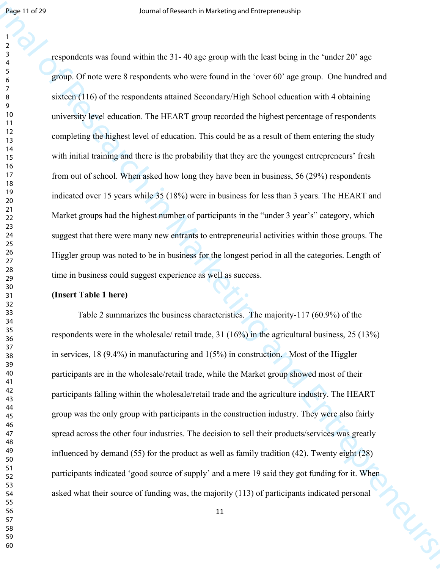**From the Presential of Research in Marketing containing the first defined in Archives and the Compact of Research in Archives in the Compact of Research in Archives in the Compact of The Present in Marketing and Compact** respondents was found within the 31- 40 age group with the least being in the 'under 20' age group. Of note were 8 respondents who were found in the 'over 60' age group. One hundred and sixteen (116) of the respondents attained Secondary/High School education with 4 obtaining university level education. The HEART group recorded the highest percentage of respondents completing the highest level of education. This could be as a result of them entering the study with initial training and there is the probability that they are the youngest entrepreneurs' fresh from out of school. When asked how long they have been in business, 56 (29%) respondents indicated over 15 years while 35 (18%) were in business for less than 3 years. The HEART and Market groups had the highest number of participants in the "under 3 year's" category, which suggest that there were many new entrants to entrepreneurial activities within those groups. The Higgler group was noted to be in business for the longest period in all the categories. Length of time in business could suggest experience as well as success.

#### **(Insert Table 1 here)**

Table 2 summarizes the business characteristics. The majority-117 (60.9%) of the respondents were in the wholesale/ retail trade, 31 (16%) in the agricultural business, 25 (13%) in services, 18 (9.4%) in manufacturing and 1(5%) in construction. Most of the Higgler participants are in the wholesale/retail trade, while the Market group showed most of their participants falling within the wholesale/retail trade and the agriculture industry. The HEART group was the only group with participants in the construction industry. They were also fairly spread across the other four industries. The decision to sell their products/services was greatly influenced by demand (55) for the product as well as family tradition (42). Twenty eight (28) participants indicated 'good source of supply' and a mere 19 said they got funding for it. When<br>asked what their source of funding was, the majority (113) of participants indicated personal<br>11 asked what their source of funding was, the majority (113) of participants indicated personal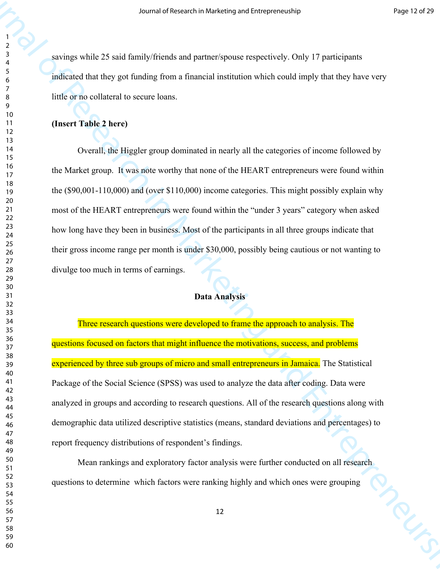savings while 25 said family/friends and partner/spouse respectively. Only 17 participants indicated that they got funding from a financial institution which could imply that they have very little or no collateral to secure loans.

## **(Insert Table 2 here)**

327<br>
328 (analysis while 25 used function and marketing and research in Only 17 periodismics<br>
328 (analysis while 25 used function from a function which could imply that they have very<br>
328 (and the Research in Section 2 Overall, the Higgler group dominated in nearly all the categories of income followed by the Market group. It was note worthy that none of the HEART entrepreneurs were found within the (\$90,001-110,000) and (over \$110,000) income categories. This might possibly explain why most of the HEART entrepreneurs were found within the "under 3 years" category when asked how long have they been in business. Most of the participants in all three groups indicate that their gross income range per month is under \$30,000, possibly being cautious or not wanting to divulge too much in terms of earnings.

## **Data Analysis**

Three research questions were developed to frame the approach to analysis. The questions focused on factors that might influence the motivations, success, and problems experienced by three sub groups of micro and small entrepreneurs in Jamaica. The Statistical Package of the Social Science (SPSS) was used to analyze the data after coding. Data were analyzed in groups and according to research questions. All of the research questions along with demographic data utilized descriptive statistics (means, standard deviations and percentages) to report frequency distributions of respondent's findings.

Mean rankings and exploratory factor analysis were further conducted on all research questions to determine which factors were ranking highly and which ones were grouping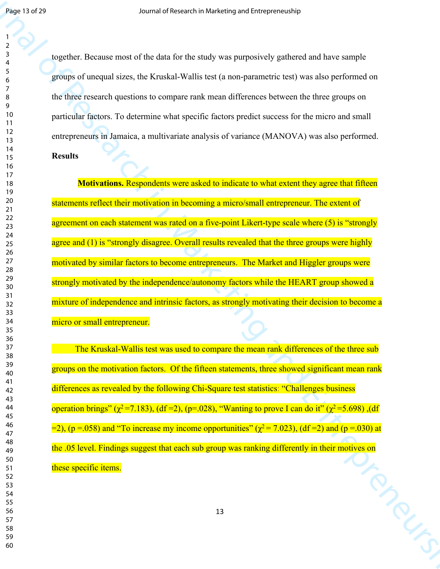together. Because most of the data for the study was purposively gathered and have sample groups of unequal sizes, the Kruskal-Wallis test (a non-parametric test) was also performed on the three research questions to compare rank mean differences between the three groups on particular factors. To determine what specific factors predict success for the micro and small entrepreneurs in Jamaica, a multivariate analysis of variance (MANOVA) was also performed.

## **Results**

Joseph of 29<br>
Joseph of Research in Marketing and the studies of Langelie and Marketing and Articles<br>
1988 of Research in Marketing and Construction of the method in Marketing and the Second Construction<br>
1999 of Construc **Motivations.** Respondents were asked to indicate to what extent they agree that fifteen statements reflect their motivation in becoming a micro/small entrepreneur. The extent of agreement on each statement was rated on a five-point Likert-type scale where (5) is "strongly agree and (1) is "strongly disagree. Overall results revealed that the three groups were highly motivated by similar factors to become entrepreneurs. The Market and Higgler groups were strongly motivated by the independence/autonomy factors while the HEART group showed a mixture of independence and intrinsic factors, as strongly motivating their decision to become a micro or small entrepreneur.

 The Kruskal-Wallis test was used to compare the mean rank differences of the three sub groups on the motivation factors. Of the fifteen statements, three showed significant mean rank differences as revealed by the following Chi-Square test statistics: "Challenges business operation brings" ( $\chi^2$ =7.183), (df =2), (p=.028), "Wanting to prove I can do it" ( $\chi^2$ =5.698), (df  $=$ 2), (p = 058) and "To increase my income opportunities" ( $\gamma^2$  = 7.023), (df = 2) and (p = 030) at the .05 level. Findings suggest that each sub group was ranking differently in their motives on<br>these specific items. these specific items.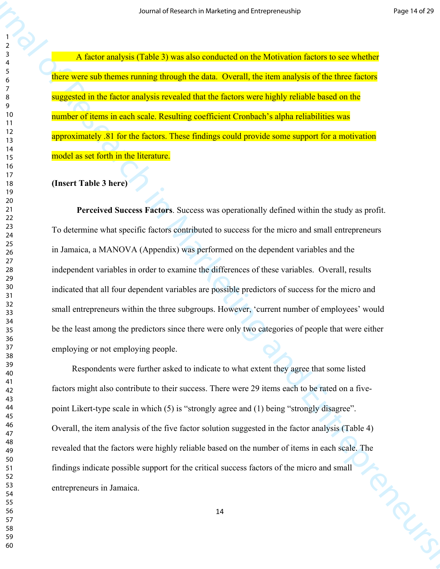A factor analysis (Table 3) was also conducted on the Motivation factors to see whether there were sub themes running through the data. Overall, the item analysis of the three factors suggested in the factor analysis revealed that the factors were highly reliable based on the number of items in each scale. Resulting coefficient Cronbach's alpha reliabilities was approximately .81 for the factors. These findings could provide some support for a motivation model as set forth in the literature.

## **(Insert Table 3 here)**

327 - A factor analysis (Table 3) was absorbed and has horses and has horses an archivest in  $\lambda$  factor and  $\lambda$  factor  $\lambda$  factor  $\lambda$  factor  $\lambda$  factor  $\lambda$  factor  $\lambda$  factor  $\lambda$  factor  $\lambda$  factor  $\lambda$  factor  $\lambda$  **Perceived Success Factors**. Success was operationally defined within the study as profit. To determine what specific factors contributed to success for the micro and small entrepreneurs in Jamaica, a MANOVA (Appendix) was performed on the dependent variables and the independent variables in order to examine the differences of these variables. Overall, results indicated that all four dependent variables are possible predictors of success for the micro and small entrepreneurs within the three subgroups. However, 'current number of employees' would be the least among the predictors since there were only two categories of people that were either employing or not employing people.

 Respondents were further asked to indicate to what extent they agree that some listed factors might also contribute to their success. There were 29 items each to be rated on a fivepoint Likert-type scale in which (5) is "strongly agree and (1) being "strongly disagree". Overall, the item analysis of the five factor solution suggested in the factor analysis (Table 4) revealed that the factors were highly reliable based on the number of items in each scale. The findings indicate possible support for the critical success factors of the micro and small entrepreneurs in Jamaica.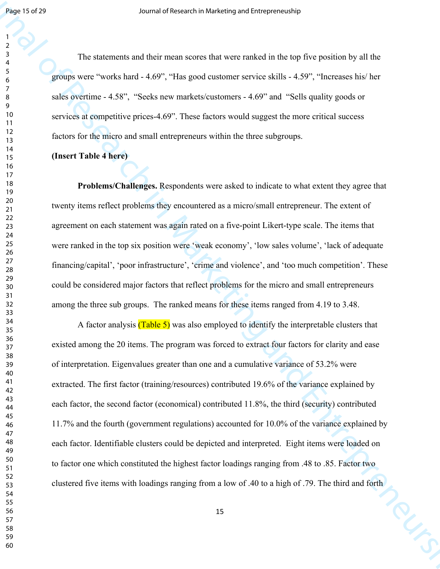The statements and their mean scores that were ranked in the top five position by all the groups were "works hard - 4.69", "Has good customer service skills - 4.59", "Increases his/ her sales overtime - 4.58", "Seeks new markets/customers - 4.69" and "Sells quality goods or services at competitive prices-4.69". These factors would suggest the more critical success factors for the micro and small entrepreneurs within the three subgroups.

### **(Insert Table 4 here)**

**Problems/Challenges.** Respondents were asked to indicate to what extent they agree that twenty items reflect problems they encountered as a micro/small entrepreneur. The extent of agreement on each statement was again rated on a five-point Likert-type scale. The items that were ranked in the top six position were 'weak economy', 'low sales volume', 'lack of adequate financing/capital', 'poor infrastructure', 'crime and violence', and 'too much competition'. These could be considered major factors that reflect problems for the micro and small entrepreneurs among the three sub groups. The ranked means for these items ranged from 4.19 to 3.48.

Search of Research in Marketing orchange and the properties of the matrices of the state of the state of the state of  $\frac{1}{2}$ <br>
The state words hard  $\sim 4.69^{\circ}$ . This good contours are the state of  $\frac{1}{2}$  and  $\frac{1}{$ A factor analysis  $(Table 5)$  was also employed to identify the interpretable clusters that existed among the 20 items. The program was forced to extract four factors for clarity and ease of interpretation. Eigenvalues greater than one and a cumulative variance of 53.2% were extracted. The first factor (training/resources) contributed 19.6% of the variance explained by each factor, the second factor (economical) contributed 11.8%, the third (security) contributed 11.7% and the fourth (government regulations) accounted for 10.0% of the variance explained by each factor. Identifiable clusters could be depicted and interpreted. Eight items were loaded on to factor one which constituted the highest factor loadings ranging from .48 to .85. Factor two clustered five items with loadings ranging from a low of .40 to a high of .79. The third and forth<br>15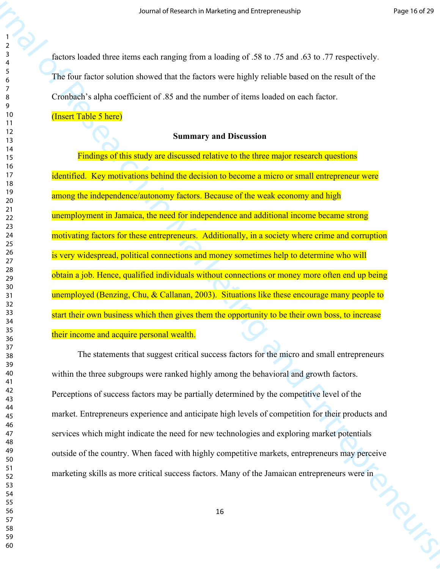factors loaded three items each ranging from a loading of .58 to .75 and .63 to .77 respectively. The four factor solution showed that the factors were highly reliable based on the result of the Cronbach's alpha coefficient of .85 and the number of items loaded on each factor.

## (Insert Table 5 here)

## **Summary and Discussion**

327<br>  $\frac{1}{2}$ <br>  $\frac{1}{2}$ <br>  $\frac{1}{2}$ <br>  $\frac{1}{2}$ <br>  $\frac{1}{2}$ <br>  $\frac{1}{2}$ <br>  $\frac{1}{2}$ <br>  $\frac{1}{2}$ <br>  $\frac{1}{2}$ <br>  $\frac{1}{2}$ <br>  $\frac{1}{2}$ <br>  $\frac{1}{2}$ <br>  $\frac{1}{2}$ <br>  $\frac{1}{2}$ <br>  $\frac{1}{2}$ <br>  $\frac{1}{2}$ <br>  $\frac{1}{2}$ <br>  $\frac{1}{2}$ <br>  $\frac{1}{2}$ <br>  $\frac{1}{$ Findings of this study are discussed relative to the three major research questions identified. Key motivations behind the decision to become a micro or small entrepreneur were among the independence/autonomy factors. Because of the weak economy and high unemployment in Jamaica, the need for independence and additional income became strong motivating factors for these entrepreneurs. Additionally, in a society where crime and corruption is very widespread, political connections and money sometimes help to determine who will obtain a job. Hence, qualified individuals without connections or money more often end up being unemployed (Benzing, Chu, & Callanan, 2003). Situations like these encourage many people to start their own business which then gives them the opportunity to be their own boss, to increase their income and acquire personal wealth.

The statements that suggest critical success factors for the micro and small entrepreneurs within the three subgroups were ranked highly among the behavioral and growth factors. Perceptions of success factors may be partially determined by the competitive level of the market. Entrepreneurs experience and anticipate high levels of competition for their products and services which might indicate the need for new technologies and exploring market potentials outside of the country. When faced with highly competitive markets, entrepreneurs may perceive marketing skills as more critical success factors. Many of the Jamaican entrepreneurs were in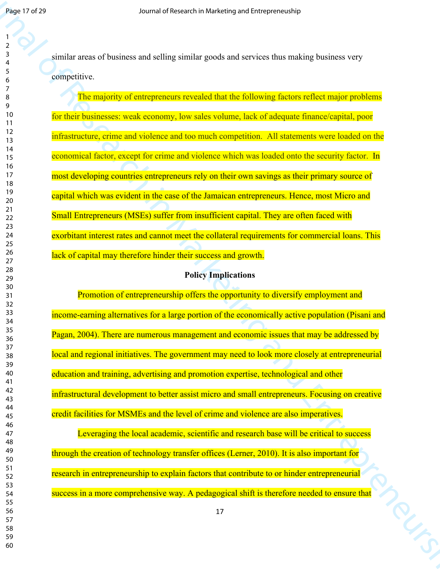similar areas of business and selling similar goods and services thus making business very competitive.

Jose 17 of 29<br>
Journal of Research in Marketing (within growth and vertices that making business very<br>  $\frac{1}{2}$ <br>  $\frac{1}{2}$ <br>  $\frac{1}{2}$ <br>  $\frac{1}{2}$ <br>  $\frac{1}{2}$ <br>  $\frac{1}{2}$ <br>  $\frac{1}{2}$ <br>  $\frac{1}{2}$ <br>  $\frac{1}{2}$ <br>  $\frac{1}{2}$ <br>  $\frac{1}{2}$ The majority of entrepreneurs revealed that the following factors reflect major problems for their businesses: weak economy, low sales volume, lack of adequate finance/capital, poor infrastructure, crime and violence and too much competition. All statements were loaded on the economical factor, except for crime and violence which was loaded onto the security factor. In most developing countries entrepreneurs rely on their own savings as their primary source of capital which was evident in the case of the Jamaican entrepreneurs. Hence, most Micro and Small Entrepreneurs (MSEs) suffer from insufficient capital. They are often faced with exorbitant interest rates and cannot meet the collateral requirements for commercial loans. This lack of capital may therefore hinder their success and growth.

## **Policy Implications**

Promotion of entrepreneurship offers the opportunity to diversify employment and income-earning alternatives for a large portion of the economically active population (Pisani and Pagan, 2004). There are numerous management and economic issues that may be addressed by local and regional initiatives. The government may need to look more closely at entrepreneurial education and training, advertising and promotion expertise, technological and other infrastructural development to better assist micro and small entrepreneurs. Focusing on creative credit facilities for MSMEs and the level of crime and violence are also imperatives.

Leveraging the local academic, scientific and research base will be critical to success through the creation of technology transfer offices (Lerner, 2010). It is also important for research in entrepreneurship to explain factors that contribute to or hinder entrepreneurial success in a more comprehensive way. A pedagogical shift is therefore needed to ensure that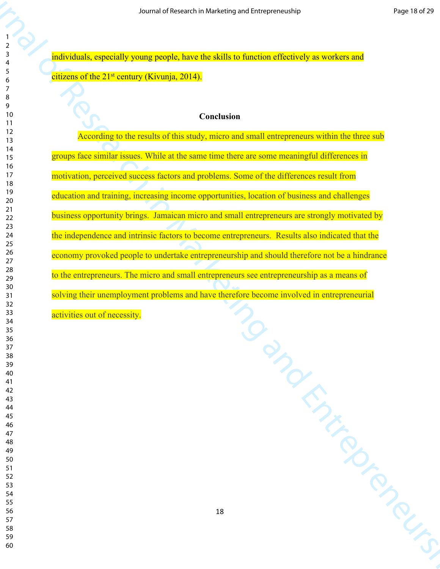individuals, especially young people, have the skills to function effectively as workers and citizens of the 21<sup>st</sup> century (Kivunja, 2014).

## **Conclusion**

 $\frac{1}{2}$ <br>  $\frac{1}{2}$ <br>  $\frac{1}{2}$ <br>  $\frac{1}{2}$ <br>  $\frac{1}{2}$ <br>  $\frac{1}{2}$ <br>  $\frac{1}{2}$ <br>  $\frac{1}{2}$ <br>  $\frac{1}{2}$ <br>  $\frac{1}{2}$ <br>  $\frac{1}{2}$ <br>  $\frac{1}{2}$ <br>  $\frac{1}{2}$ <br>  $\frac{1}{2}$ <br>  $\frac{1}{2}$ <br>  $\frac{1}{2}$ <br>  $\frac{1}{2}$ <br>  $\frac{1}{2}$ <br>  $\frac{1}{2}$ <br>  $\frac{1}{2}$ <br> According to the results of this study, micro and small entrepreneurs within the three sub groups face similar issues. While at the same time there are some meaningful differences in motivation, perceived success factors and problems. Some of the differences result from education and training, increasing income opportunities, location of business and challenges business opportunity brings. Jamaican micro and small entrepreneurs are strongly motivated by the independence and intrinsic factors to become entrepreneurs. Results also indicated that the economy provoked people to undertake entrepreneurship and should therefore not be a hindrance to the entrepreneurs. The micro and small entrepreneurs see entrepreneurship as a means of solving their unemployment problems and have therefore become involved in entrepreneurial activities out of necessity.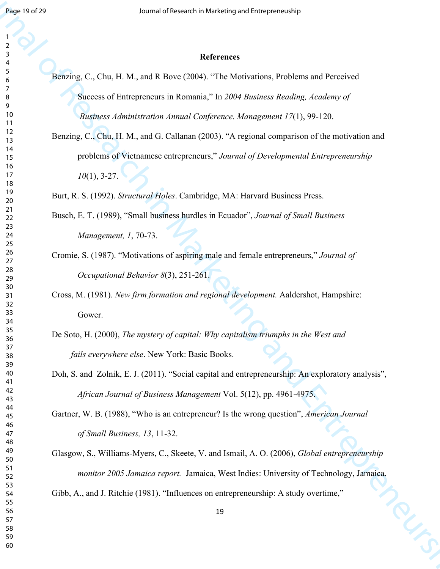#### 

## **References**

- Benzing, C., Chu, H. M., and R Bove (2004). "The Motivations, Problems and Perceived Success of Entrepreneurs in Romania," In *2004 Business Reading, Academy of Business Administration Annual Conference. Management 17*(1), 99-120.
- Joseph 27<br>
Journal of Research in Marketing and European and Perceivanta<br>
Journal of C., Chu, FI M., and R. Research 2004 The Marketing Problems and Perceivant<br>
Journal of C. Chu, FI M., and R. Research in European Compon Benzing, C., Chu, H. M., and G. Callanan (2003). "A regional comparison of the motivation and problems of Vietnamese entrepreneurs," *Journal of Developmental Entrepreneurship*  (1), 3-27.

Burt, R. S. (1992). *Structural Holes*. Cambridge, MA: Harvard Business Press.

- Busch, E. T. (1989), "Small business hurdles in Ecuador", *Journal of Small Business Management, 1*, 70-73.
- Cromie, S. (1987). "Motivations of aspiring male and female entrepreneurs," *Journal of Occupational Behavior 8*(3), 251-261.
- Cross, M. (1981). *New firm formation and regional development.* Aaldershot, Hampshire: Gower.
- De Soto, H. (2000), *The mystery of capital: Why capitalism triumphs in the West and fails everywhere else*. New York: Basic Books.
- Doh, S. and Zolnik, E. J. (2011). "Social capital and entrepreneurship: An exploratory analysis", *African Journal of Business Management* Vol. 5(12), pp. 4961-4975.

Gartner, W. B. (1988), "Who is an entrepreneur? Is the wrong question", *American Journal of Small Business, 13*, 11-32.

Glasgow, S., Williams-Myers, C., Skeete, V. and Ismail, A. O. (2006), *Global entrepreneurship monitor 2005 Jamaica report.* Jamaica, West Indies: University of Technology, Jamaica. Gibb, A., and J. Ritchie (1981). "Influences on entrepreneurship: A study overtime,"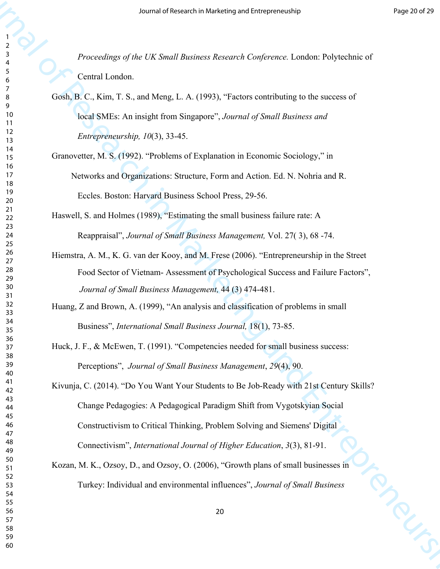*Proceedings of the UK Small Business Research Conference.* London: Polytechnic of Central London.

- Gosh, B. C., Kim, T. S., and Meng, L. A. (1993), "Factors contributing to the success of local SMEs: An insight from Singapore", *Journal of Small Business and Entrepreneurship, 10*(3), 33-45.
- Granovetter, M. S. (1992). "Problems of Explanation in Economic Sociology," in Networks and Organizations: Structure, Form and Action. Ed. N. Nohria and R. Eccles. Boston: Harvard Business School Press, 29-56.
- Haswell, S. and Holmes (1989), "Estimating the small business failure rate: A Reappraisal", *Journal of Small Business Management,* Vol. 27( 3), 68 -74.
- Hiemstra, A. M., K. G. van der Kooy, and M. Frese (2006). "Entrepreneurship in the Street Food Sector of Vietnam- Assessment of Psychological Success and Failure Factors", *Journal of Small Business Management,* 44 (3) 474-481.
- Huang, Z and Brown, A. (1999), "An analysis and classification of problems in small Business", *International Small Business Journal,* 18(1), 73-85.
- Huck, J. F., & McEwen, T. (1991). "Competencies needed for small business success: Perceptions", *Journal of Small Business Management*, *29*(4), 90.

3871<br>
392 Der Marketing and Stefan and Theorem Conference Tartane Polyncheins of<br>
392 Der Marketing and the Control Conference Tartane Polyncheins of<br>
592 Der Marketing between the Control Conference Tartane Polyncheins Kivunja, C. (2014). "Do You Want Your Students to Be Job-Ready with 21st Century Skills? Change Pedagogies: A Pedagogical Paradigm Shift from Vygotskyian Social Constructivism to Critical Thinking, Problem Solving and Siemens' Digital Connectivism", *International Journal of Higher Education*, *3*(3), 81-91.

Kozan, M. K., Ozsoy, D., and Ozsoy, O. (2006), "Growth plans of small businesses in Turkey: Individual and environmental influences", *Journal of Small Business*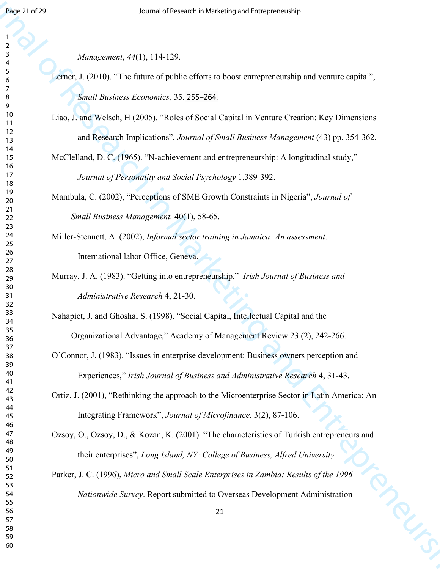*Management*, *44*(1), 114-129.

- **Fracta Characteristics** of Entrepreneurs and Entrepreneurship of Research in Marketing and the matrix controls of  $\frac{1}{2}$ <br>  $\frac{1}{2}$ <br>  $\frac{1}{2}$ <br>  $\frac{1}{2}$ <br>  $\frac{1}{2}$ <br>  $\frac{1}{2}$ <br>  $\frac{1}{2}$ <br>  $\frac{1}{2}$ <br>  $\frac{1}{2}$ <br>  $\frac{1}{$ Lerner, J. (2010). "The future of public efforts to boost entrepreneurship and venture capital", *Small Business Economics,* 35, 255–264.
	- Liao, J. and Welsch, H (2005). "Roles of Social Capital in Venture Creation: Key Dimensions and Research Implications", *Journal of Small Business Management* (43) pp. 354-362.

McClelland, D. C. (1965). "N-achievement and entrepreneurship: A longitudinal study," *Journal of Personality and Social Psychology* 1,389-392.

Mambula, C. (2002), "Perceptions of SME Growth Constraints in Nigeria", *Journal of Small Business Management,* 40(1), 58-65.

Miller-Stennett, A. (2002), *Informal sector training in Jamaica: An assessment*. International labor Office, Geneva.

Murray, J. A. (1983). "Getting into entrepreneurship," *Irish Journal of Business and Administrative Research* 4, 21-30.

Nahapiet, J. and Ghoshal S. (1998). "Social Capital, Intellectual Capital and the Organizational Advantage," Academy of Management Review 23 (2), 242-266.

- O'Connor, J. (1983). "Issues in enterprise development: Business owners perception and Experiences," *Irish Journal of Business and Administrative Research* 4, 31-43.
- Ortiz, J. (2001), "Rethinking the approach to the Microenterprise Sector in Latin America: An Integrating Framework", *Journal of Microfinance,* 3(2), 87-106.

Ozsoy, O., Ozsoy, D., & Kozan, K. (2001). "The characteristics of Turkish entrepreneurs and their enterprises", *Long Island, NY: College of Business, Alfred University*.

Parker, J. C. (1996), *Micro and Small Scale Enterprises in Zambia: Results of the 1996 Nationwide Survey*. Report submitted to Overseas Development Administration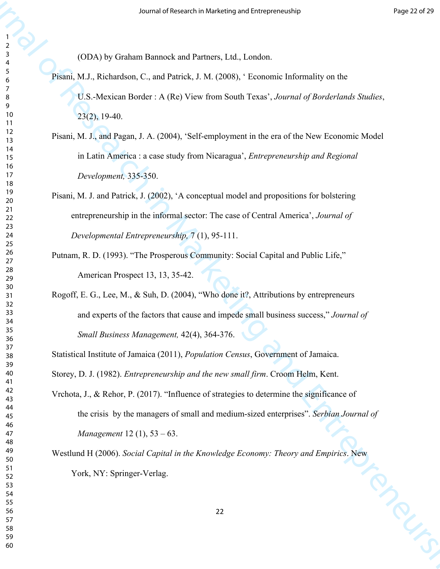(ODA) by Graham Bannock and Partners, Ltd., London.

Pisani, M.J., Richardson, C., and Patrick, J. M. (2008), ' Economic Informality on the U.S.-Mexican Border : A (Re) View from South Texas', *Journal of Borderlands Studies*,

23(2), 19-40.

- Pisani, M. J., and Pagan, J. A. (2004), 'Self-employment in the era of the New Economic Model in Latin America : a case study from Nicaragua', *Entrepreneurship and Regional Development,* 335-350.
- Pisani, M. J. and Patrick, J. (2002), 'A conceptual model and propositions for bolstering entrepreneurship in the informal sector: The case of Central America', *Journal of Developmental Entrepreneurship,* 7 (1), 95-111.
- Putnam, R. D. (1993). "The Prosperous Community: Social Capital and Public Life," American Prospect 13, 13, 35-42.
- Rogoff, E. G., Lee, M., & Suh, D. (2004), "Who done it?, Attributions by entrepreneurs and experts of the factors that cause and impede small business success," *Journal of Small Business Management,* 42(4), 364-376.

Statistical Institute of Jamaica (2011), *Population Census*, Government of Jamaica.

Storey, D. J. (1982). *Entrepreneurship and the new small firm*. Croom Helm, Kent.

387 (DV) by Graham Ramock and Turnary, 161, 131 chemical and Turnal of Research in Marketing and the Similar C, and Ramock and Turnal of Research in Entrepreneurship on the Control Southern and Control of Marketing and C Vrchota, J., & Rehor, P. (2017). "Influence of strategies to determine the significance of the crisis by the managers of small and medium-sized enterprises". *Serbian Journal of Management* 12 (1), 53 – 63.

Westlund H (2006). *Social Capital in the Knowledge Economy: Theory and Empirics*. New<br>York, NY: Springer-Verlag.<br>22 York, NY: Springer-Verlag.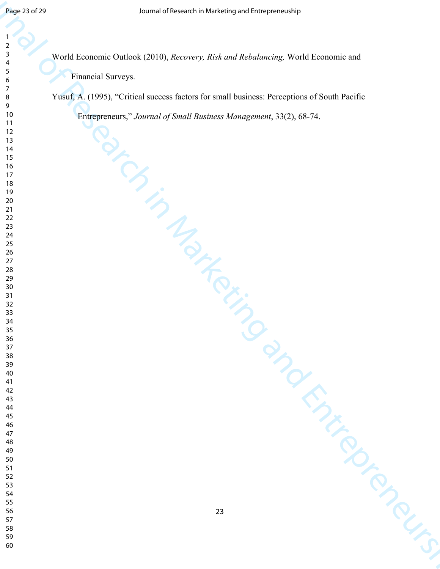Journal of Research in Marketing and Marketing and Marketing and Marketing World Permuteris and<br>  $\frac{1}{2}$ <br>  $\frac{1}{2}$ <br>  $\frac{1}{2}$ <br>  $\frac{1}{2}$ <br>  $\frac{1}{2}$ <br>  $\frac{1}{2}$ <br>  $\frac{1}{2}$ <br>  $\frac{1}{2}$ <br>  $\frac{1}{2}$ <br>  $\frac{1}{2}$ <br>  $\frac{1}{2}$ <br>  $\frac$ World Economic Outlook (2010), *Recovery, Risk and Rebalancing,* World Economic and Financial Surveys.

Yusuf, A. (1995), "Critical success factors for small business: Perceptions of South Pacific Entrepreneurs," *Journal of Small Business Management*, 33(2), 68-74.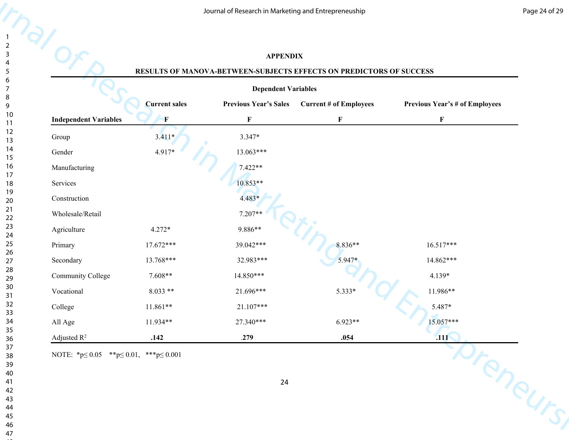## **APPENDIX**

#### **RESULTS OF MANOVA-BETWEEN-SUBJECTS EFFECTS ON PREDICTORS OF SUCCESS**

|                                                          |                      | Journal of Research in Marketing and Entrepreneuship |                                                                     |                                       |
|----------------------------------------------------------|----------------------|------------------------------------------------------|---------------------------------------------------------------------|---------------------------------------|
|                                                          |                      | <b>APPENDIX</b>                                      |                                                                     |                                       |
|                                                          |                      |                                                      | RESULTS OF MANOVA-BETWEEN-SUBJECTS EFFECTS ON PREDICTORS OF SUCCESS |                                       |
|                                                          |                      | <b>Dependent Variables</b>                           |                                                                     |                                       |
|                                                          | <b>Current sales</b> | <b>Previous Year's Sales</b>                         | <b>Current # of Employees</b>                                       | <b>Previous Year's # of Employees</b> |
| <b>Independent Variables</b>                             | $\mathbf{F}$         | $\mathbf F$                                          | $\boldsymbol{\mathrm{F}}$                                           | $\mathbf F$                           |
| Group                                                    | $3.411*$             | $3.347*$                                             |                                                                     |                                       |
| Gender                                                   | 4.917*               | $13.063***$                                          |                                                                     |                                       |
| Manufacturing                                            |                      | 7.422**                                              |                                                                     |                                       |
| Services                                                 |                      | 10.853**                                             |                                                                     |                                       |
| Construction                                             |                      | $4.483*$                                             |                                                                     |                                       |
| Wholesale/Retail                                         |                      | 7.207**                                              |                                                                     |                                       |
| Agriculture                                              | $4.272*$             | 9.886**                                              |                                                                     |                                       |
| Primary                                                  | $17.672***$          | 39.042***                                            | 8.836**                                                             | $16.517***$                           |
| Secondary                                                | 13.768***            | 32.983***                                            | 5.947*                                                              | 14.862***                             |
| Community College                                        | 7.608**              | 14.850***                                            |                                                                     | 4.139*                                |
| Vocational                                               | $8.033**$            | 21.696***                                            | $5.333*$                                                            | 11.986**                              |
| College                                                  | 11.861**             | 21.107***                                            |                                                                     | $5.487*$                              |
| All Age                                                  | 11.934**             | 27.340***                                            | $6.923**$                                                           | 15.057***                             |
| Adjusted $\mathbb{R}^2$                                  | .142                 | .279                                                 | .054                                                                | .111                                  |
| NOTE: *p $\leq 0.05$ **p $\leq 0.01$ , ***p $\leq 0.001$ |                      | 24                                                   |                                                                     | oreneurs                              |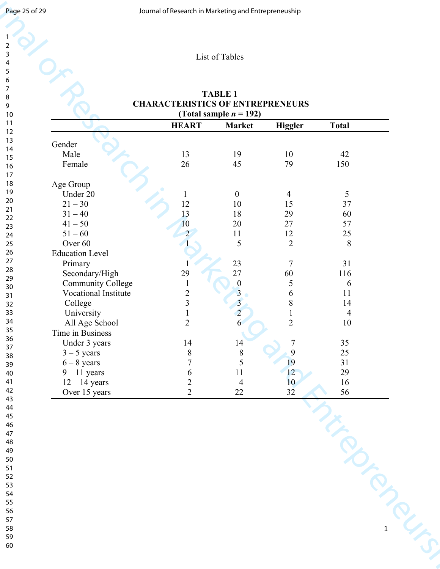| Page 25 of 29                      |                                     | Journal of Research in Marketing and Entrepreneuship |                                             |                                                          |                          |             |
|------------------------------------|-------------------------------------|------------------------------------------------------|---------------------------------------------|----------------------------------------------------------|--------------------------|-------------|
|                                    |                                     |                                                      |                                             |                                                          |                          |             |
| $\overline{2}$<br>$\mathbf{3}$     |                                     |                                                      | List of Tables                              |                                                          |                          |             |
| 4<br>$\sqrt{5}$                    |                                     |                                                      |                                             |                                                          |                          |             |
| $\boldsymbol{6}$<br>$\overline{7}$ |                                     |                                                      | <b>TABLE 1</b>                              |                                                          |                          |             |
| $\bf 8$<br>9                       |                                     | <b>CHARACTERISTICS OF ENTREPRENEURS</b>              |                                             |                                                          |                          |             |
| $10\,$<br>11                       |                                     |                                                      | (Total sample $n = 192$ )                   |                                                          |                          |             |
| 12<br>13                           |                                     | <b>HEART</b>                                         | <b>Market</b>                               | Higgler                                                  | <b>Total</b>             |             |
| 14                                 | Gender<br>Male                      | 13                                                   | 19                                          | $10\,$                                                   | 42                       |             |
| 15<br>16                           | Female                              | 26                                                   | 45                                          | 79                                                       | 150                      |             |
| $17\,$<br>18                       | Age Group                           |                                                      |                                             |                                                          |                          |             |
| 19<br>$20\,$                       | Under 20                            |                                                      | $\boldsymbol{0}$                            | $\overline{4}$                                           | 5                        |             |
|                                    | $21 - 30$                           | 12                                                   | $10\,$                                      | 15                                                       | 37                       |             |
|                                    | $31 - 40$<br>$41 - 50$              | 13<br>10                                             | 18<br>$20\,$                                | 29<br>27                                                 | 60<br>57                 |             |
|                                    | $51 - 60$                           |                                                      | 11                                          | $12\,$                                                   | 25                       |             |
|                                    | Over 60                             |                                                      | 5                                           | $\overline{2}$                                           | $8\,$                    |             |
|                                    | <b>Education Level</b>              |                                                      |                                             |                                                          |                          |             |
|                                    | Primary                             | 29                                                   | $\frac{23}{27}$                             | $\overline{7}$<br>60                                     | 31                       |             |
|                                    | Secondary/High<br>Community College |                                                      |                                             |                                                          | 116<br>6                 |             |
|                                    | Vocational Institute                |                                                      | $\frac{0}{3}$                               | 6                                                        | $11\,$                   |             |
|                                    | College                             | $\frac{2}{3}$                                        | $\overline{3}$                              | 8                                                        | 14                       |             |
|                                    | University                          |                                                      | $\overline{2}$                              |                                                          | $\overline{\mathcal{A}}$ |             |
|                                    | All Age School<br>Time in Business  | $\overline{2}$                                       | 6                                           | $\overline{2}$                                           | $10\,$                   |             |
|                                    | Under 3 years                       |                                                      |                                             | $\overline{7}$                                           |                          |             |
|                                    | $3 - 5$ years                       | $\begin{array}{c} 14 \\ 8 \end{array}$               | $\begin{array}{c} 14 \\ 8 \\ 5 \end{array}$ |                                                          | $\frac{35}{25}$          |             |
|                                    | $6 - 8$ years                       | $\overline{7}$                                       |                                             |                                                          | $\frac{31}{29}$          |             |
|                                    | $9 - 11$ years<br>$12 - 14$ years   | 6                                                    | $11\,$<br>$\overline{4}$                    | $\begin{array}{c} 9 \\ 19 \\ 12 \\ 10 \\ 32 \end{array}$ |                          |             |
|                                    | Over 15 years                       | $\frac{2}{2}$                                        | 22                                          |                                                          | $\frac{16}{56}$          |             |
|                                    |                                     |                                                      |                                             |                                                          |                          |             |
| 44<br>45<br>46                     |                                     |                                                      |                                             |                                                          |                          |             |
| $47\,$                             |                                     |                                                      |                                             |                                                          |                          |             |
|                                    |                                     |                                                      |                                             |                                                          |                          |             |
|                                    |                                     |                                                      |                                             |                                                          |                          |             |
|                                    |                                     |                                                      |                                             |                                                          |                          |             |
|                                    |                                     |                                                      |                                             |                                                          |                          |             |
|                                    |                                     |                                                      |                                             |                                                          |                          |             |
|                                    |                                     |                                                      |                                             |                                                          |                          |             |
|                                    |                                     |                                                      |                                             |                                                          |                          |             |
|                                    |                                     |                                                      |                                             |                                                          |                          | $\mathbf 1$ |
|                                    |                                     |                                                      |                                             |                                                          |                          |             |
|                                    |                                     |                                                      |                                             |                                                          |                          |             |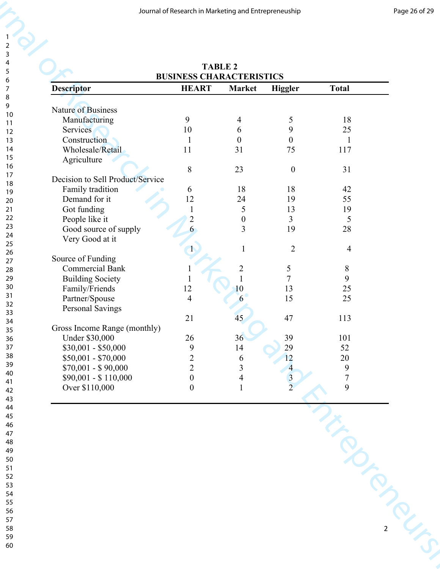|                                  | Journal of Research in Marketing and Entrepreneuship |                         |                                            |                                            |
|----------------------------------|------------------------------------------------------|-------------------------|--------------------------------------------|--------------------------------------------|
|                                  | <b>TABLE 2</b>                                       |                         |                                            |                                            |
|                                  | <b>BUSINESS CHARACTERISTICS</b>                      |                         |                                            |                                            |
| <b>Descriptor</b>                | <b>HEART</b>                                         | Market                  | <b>Higgler</b>                             | <b>Total</b>                               |
|                                  |                                                      |                         |                                            |                                            |
| Nature of Business               |                                                      |                         |                                            |                                            |
| Manufacturing                    | 9                                                    | 4                       | 5                                          | 18                                         |
| Services                         | 10                                                   | 6                       | 9                                          | 25                                         |
| Construction                     | $\mathbf{1}$                                         | $\boldsymbol{0}$        | $\boldsymbol{0}$                           | 1                                          |
| Wholesale/Retail                 | 11                                                   | 31                      | 75                                         | 117                                        |
| Agriculture                      |                                                      |                         |                                            |                                            |
|                                  | $\,8\,$                                              | 23                      | $\boldsymbol{0}$                           | 31                                         |
| Decision to Sell Product/Service |                                                      |                         |                                            |                                            |
| Family tradition                 | 6                                                    | 18                      | 18                                         | 42                                         |
| Demand for it                    | 12                                                   | 24                      | 19                                         | 55                                         |
| Got funding                      |                                                      | 5                       | 13                                         | 19                                         |
| People like it                   | $\overline{2}$                                       | $\boldsymbol{0}$        | 3                                          | 5                                          |
| Good source of supply            | 6                                                    | 3                       | 19                                         | 28                                         |
| Very Good at it                  |                                                      |                         |                                            |                                            |
|                                  |                                                      | 1                       | $\overline{2}$                             | $\overline{4}$                             |
| Source of Funding                |                                                      |                         |                                            |                                            |
| <b>Commercial Bank</b>           |                                                      | $\sqrt{2}$              |                                            | 8                                          |
| <b>Building Society</b>          |                                                      |                         | $\frac{5}{7}$                              | 9                                          |
| Family/Friends                   | 12                                                   | 10                      |                                            |                                            |
| Partner/Spouse                   | $\overline{4}$                                       | 6                       | $\begin{array}{c} 13 \\ 15 \end{array}$    | $\frac{25}{25}$                            |
| Personal Savings                 |                                                      |                         |                                            |                                            |
|                                  | 21                                                   | 45                      | 47                                         | 113                                        |
| Gross Income Range (monthly)     |                                                      |                         |                                            |                                            |
| <b>Under \$30,000</b>            | 26                                                   | 36                      |                                            | $101\,$                                    |
|                                  | $\mathbf{9}$                                         | 14                      | 39<br>29                                   | 52                                         |
| $$30,001 - $50,000$              | $\overline{c}$                                       |                         | 12                                         | $20\,$                                     |
| $$50,001 - $70,000$              | $\overline{2}$                                       | $\boldsymbol{6}$        |                                            |                                            |
| $$70,001 - $90,000$              | $\boldsymbol{0}$                                     | $\overline{\mathbf{3}}$ |                                            |                                            |
| \$90,001 - \$110,000             |                                                      | $\overline{4}$          | $\begin{array}{c} 4 \\ 3 \\ 2 \end{array}$ | $\begin{array}{c} 9 \\ 7 \\ 9 \end{array}$ |
| Over \$110,000                   | $\boldsymbol{0}$                                     | $\mathbf{1}$            |                                            |                                            |
|                                  |                                                      |                         |                                            |                                            |
|                                  |                                                      |                         |                                            |                                            |
|                                  |                                                      |                         |                                            |                                            |
|                                  |                                                      |                         |                                            |                                            |
|                                  |                                                      |                         |                                            |                                            |
|                                  |                                                      |                         |                                            |                                            |
|                                  |                                                      |                         |                                            |                                            |
|                                  |                                                      |                         |                                            |                                            |
|                                  |                                                      |                         |                                            |                                            |
|                                  |                                                      |                         |                                            |                                            |
|                                  |                                                      |                         |                                            |                                            |
|                                  |                                                      |                         |                                            |                                            |
|                                  |                                                      |                         |                                            |                                            |
|                                  |                                                      |                         |                                            |                                            |
|                                  |                                                      |                         |                                            |                                            |
|                                  |                                                      |                         |                                            |                                            |
|                                  |                                                      |                         |                                            |                                            |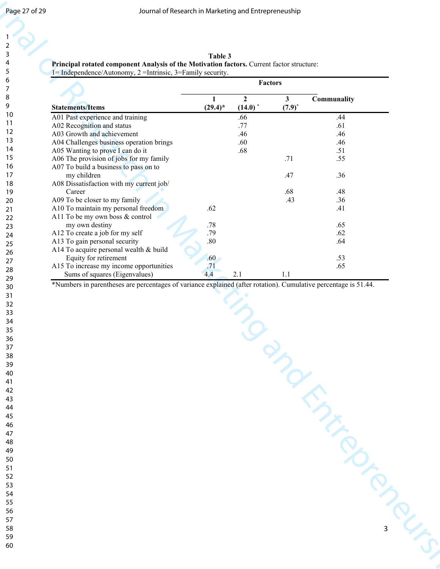| 1               |  |
|-----------------|--|
|                 |  |
| 2               |  |
|                 |  |
| 3               |  |
|                 |  |
| 4               |  |
|                 |  |
| 5               |  |
|                 |  |
| 6               |  |
|                 |  |
|                 |  |
|                 |  |
| 8               |  |
|                 |  |
| 9               |  |
|                 |  |
| 10              |  |
|                 |  |
| 1<br>1          |  |
|                 |  |
| $\overline{12}$ |  |
|                 |  |
| 1<br>3          |  |
|                 |  |
| 1<br>4          |  |
|                 |  |
| 15              |  |
|                 |  |
| 16              |  |
|                 |  |
| 1               |  |
|                 |  |
| 18              |  |
|                 |  |
| 19              |  |
|                 |  |
| 20              |  |
| $\overline{21}$ |  |
|                 |  |
|                 |  |
| $^{22}$         |  |
| 23              |  |
|                 |  |
| $^{24}$         |  |
|                 |  |
|                 |  |
| 25              |  |
|                 |  |
| 26              |  |
|                 |  |
| 27              |  |
|                 |  |
| 28              |  |
|                 |  |
| 29              |  |
|                 |  |
| 30              |  |
|                 |  |
| 31              |  |
| $\overline{32}$ |  |
|                 |  |
| 33              |  |
|                 |  |
| 34              |  |
|                 |  |
| 35              |  |
|                 |  |
| 36              |  |
|                 |  |
|                 |  |
| 37              |  |
| R۶              |  |
|                 |  |
| 39              |  |
|                 |  |
| 40              |  |
|                 |  |
| 41              |  |
|                 |  |
| 42              |  |
|                 |  |
| 43              |  |
|                 |  |
| 44              |  |
|                 |  |
| 45              |  |
|                 |  |
| 46              |  |
|                 |  |
| 47              |  |
|                 |  |
| 48              |  |
|                 |  |
| 49              |  |
|                 |  |
| 50              |  |
|                 |  |
| 51              |  |
|                 |  |
| 52              |  |
|                 |  |
| 53              |  |
|                 |  |
| 54              |  |
|                 |  |
| 55              |  |
|                 |  |
| 56              |  |
|                 |  |
| 57              |  |

| Table 3                                                                                          |  |
|--------------------------------------------------------------------------------------------------|--|
| <b>Principal rotated component Analysis of the Motivation factors.</b> Current factor structure: |  |

|                                              |                                                                                                                 |                  |                       | Journal of Research in Marketing and Entrepreneuship |             |
|----------------------------------------------|-----------------------------------------------------------------------------------------------------------------|------------------|-----------------------|------------------------------------------------------|-------------|
|                                              |                                                                                                                 |                  |                       |                                                      |             |
|                                              |                                                                                                                 |                  |                       |                                                      |             |
|                                              | Principal rotated component Analysis of the Motivation factors. Current factor structure:                       | Table 3          |                       |                                                      |             |
|                                              | 1= Independence/Autonomy, 2 = Intrinsic, 3 = Family security.                                                   |                  |                       |                                                      |             |
|                                              |                                                                                                                 |                  |                       | Factors                                              |             |
|                                              |                                                                                                                 | $\mathbf{1}$     | $\overline{2}$        | 3 <sup>1</sup>                                       | Communality |
|                                              | <b>Statements/Items</b>                                                                                         | $(29.4)^*$       | $(14.0)$ <sup>*</sup> | $(7.9)^{*}$                                          |             |
|                                              | A01 Past experience and training                                                                                |                  | .66                   |                                                      | .44         |
| 12                                           | A02 Recognition and status<br>A03 Growth and achievement                                                        |                  | .77<br>.46            |                                                      | .61<br>.46  |
|                                              | A04 Challenges business operation brings                                                                        |                  | .60                   |                                                      | .46         |
|                                              | A05 Wanting to prove I can do it                                                                                |                  | .68                   |                                                      | .51         |
|                                              | A06 The provision of jobs for my family                                                                         |                  |                       | .71                                                  | .55         |
|                                              | A07 To build a business to pass on to<br>my children                                                            |                  |                       | .47                                                  | .36         |
|                                              | A08 Dissatisfaction with my current job/                                                                        |                  |                       |                                                      |             |
|                                              | Career                                                                                                          |                  |                       | .68                                                  | .48         |
| 20                                           | A09 To be closer to my family                                                                                   | .62              |                       | .43                                                  | .36<br>.41  |
|                                              | A10 To maintain my personal freedom<br>A11 To be my own boss & control                                          |                  |                       |                                                      |             |
| 22<br>23                                     | my own destiny                                                                                                  | .78              |                       |                                                      | .65         |
| 24                                           | A12 To create a job for my self                                                                                 | .79              |                       |                                                      | .62         |
| 25                                           | A13 To gain personal security<br>A14 To acquire personal wealth & build                                         | $.80\,$          |                       |                                                      | .64         |
| 26                                           | Equity for retirement                                                                                           | .60              |                       |                                                      | .53         |
| 27<br>28                                     | A15 To increase my income opportunities                                                                         | $\overline{.71}$ |                       |                                                      | .65         |
| 29                                           | Sums of squares (Eigenvalues)                                                                                   | 4.4              | 2.1                   | 1.1                                                  |             |
|                                              | *Numbers in parentheses are percentages of variance explained (after rotation). Cumulative percentage is 51.44. |                  |                       |                                                      |             |
|                                              |                                                                                                                 |                  |                       |                                                      |             |
|                                              |                                                                                                                 |                  |                       |                                                      |             |
|                                              |                                                                                                                 |                  |                       |                                                      |             |
| 30<br>31<br>32<br>33<br>34<br>35<br>36<br>37 |                                                                                                                 |                  |                       |                                                      |             |
|                                              |                                                                                                                 |                  |                       |                                                      |             |
| 38<br>39                                     |                                                                                                                 |                  |                       |                                                      |             |
|                                              |                                                                                                                 |                  |                       |                                                      |             |
| $40\,$                                       |                                                                                                                 |                  |                       |                                                      |             |
| 41<br>42<br>43<br>44<br>45<br>46             |                                                                                                                 |                  |                       |                                                      |             |
|                                              |                                                                                                                 |                  |                       |                                                      |             |
|                                              |                                                                                                                 |                  |                       |                                                      |             |
|                                              |                                                                                                                 |                  |                       |                                                      |             |
|                                              |                                                                                                                 |                  |                       |                                                      |             |
|                                              |                                                                                                                 |                  |                       |                                                      |             |
|                                              |                                                                                                                 |                  |                       |                                                      |             |
|                                              |                                                                                                                 |                  |                       |                                                      |             |
|                                              |                                                                                                                 |                  |                       |                                                      |             |
|                                              |                                                                                                                 |                  |                       |                                                      |             |
|                                              |                                                                                                                 |                  |                       |                                                      |             |
|                                              |                                                                                                                 |                  |                       |                                                      |             |
|                                              |                                                                                                                 |                  |                       |                                                      |             |
|                                              |                                                                                                                 |                  |                       |                                                      |             |
| 58<br>59                                     |                                                                                                                 |                  |                       |                                                      |             |
| 60                                           |                                                                                                                 |                  |                       |                                                      |             |
|                                              |                                                                                                                 |                  |                       |                                                      |             |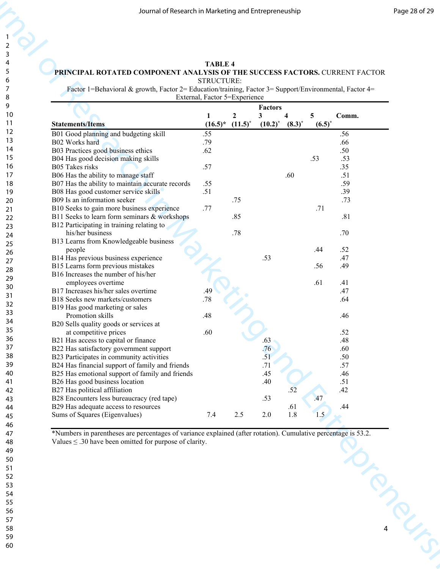#### **TABLE 4 PRINCIPAL ROTATED COMPONENT ANALYSIS OF THE SUCCESS FACTORS.** CURRENT FACTOR STRUCTURE:

|                                                                                                        |                               |              | Journal of Research in Marketing and Entrepreneuship |             |           |            |
|--------------------------------------------------------------------------------------------------------|-------------------------------|--------------|------------------------------------------------------|-------------|-----------|------------|
|                                                                                                        |                               |              |                                                      |             |           |            |
| PRINCIPAL ROTATED COMPONENT ANALYSIS OF THE SUCCESS FACTORS. CURRENT FACTOR                            | <b>TABLE 4</b>                |              |                                                      |             |           |            |
| Factor 1=Behavioral & growth, Factor 2= Education/training, Factor 3= Support/Environmental, Factor 4= | STRUCTURE:                    |              |                                                      |             |           |            |
|                                                                                                        | External, Factor 5=Experience |              | <b>Factors</b>                                       |             |           |            |
|                                                                                                        | 1                             | $\mathbf{2}$ | 3                                                    |             | 5         | Comm.      |
| <b>Statements/Items</b>                                                                                | $(16.5)^*$                    | $(11.5)^{*}$ | $(10.2)^{*}$                                         | $(8.3)^{*}$ | $(6.5)^*$ |            |
| B01 Good planning and budgeting skill<br>B02 Works hard                                                | .55<br>.79                    |              |                                                      |             |           | .56<br>.66 |
| B03 Practices good business ethics                                                                     | .62                           |              |                                                      |             |           | .50        |
| B04 Has good decision making skills                                                                    |                               |              |                                                      |             | .53       | .53        |
| B05 Takes risks                                                                                        | .57                           |              |                                                      |             |           | .35        |
| B06 Has the ability to manage staff<br>B07 Has the ability to maintain accurate records                | .55                           |              |                                                      | .60         |           | .51<br>.59 |
| B08 Has good customer service skills                                                                   | .51                           |              |                                                      |             |           | .39        |
| B09 Is an information seeker                                                                           |                               | .75          |                                                      |             |           | .73        |
| B10 Seeks to gain more business experience                                                             | .77                           |              |                                                      |             | .71       |            |
| B11 Seeks to learn form seminars & workshops                                                           |                               | .85          |                                                      |             |           | .81        |
| B12 Participating in training relating to<br>his/her business                                          |                               | .78          |                                                      |             |           | .70        |
| B13 Learns from Knowledgeable business                                                                 |                               |              |                                                      |             |           |            |
| people                                                                                                 |                               |              |                                                      |             | .44       | .52        |
| B14 Has previous business experience                                                                   |                               |              | .53                                                  |             |           | .47        |
| B15 Learns form previous mistakes                                                                      |                               |              |                                                      |             | .56       | .49        |
| B16 Increases the number of his/her<br>employees overtime                                              |                               |              |                                                      |             | .61       | .41        |
| B17 Increases his/her sales overtime                                                                   | .49                           |              |                                                      |             |           | .47        |
| B18 Seeks new markets/customers                                                                        | .78                           |              |                                                      |             |           | .64        |
| B19 Has good marketing or sales                                                                        |                               |              |                                                      |             |           |            |
| Promotion skills                                                                                       | .48                           |              |                                                      |             |           | .46        |
| B20 Sells quality goods or services at<br>at competitive prices                                        | .60                           |              |                                                      |             |           | .52        |
| B21 Has access to capital or finance                                                                   |                               |              | .63                                                  |             |           | .48        |
| B22 Has satisfactory government support                                                                |                               |              | .76                                                  |             |           | .60        |
| B23 Participates in community activities                                                               |                               |              | .51                                                  |             |           | .50        |
| B24 Has financial support of family and friends                                                        |                               |              | .71                                                  |             |           | .57        |
| B25 Has emotional support of family and friends<br>B26 Has good business location                      |                               |              | .45<br>.40                                           |             |           | .46<br>.51 |
| B27 Has political affiliation                                                                          |                               |              |                                                      | .52         |           | .42        |
| B28 Encounters less bureaucracy (red tape)                                                             |                               |              | .53                                                  |             | .47       |            |
| B29 Has adequate access to resources                                                                   |                               |              |                                                      | .61         |           | .44        |
| Sums of Squares (Eigenvalues)                                                                          | 7.4                           | 2.5          | 2.0                                                  | $1.8\,$     | 1.5       |            |